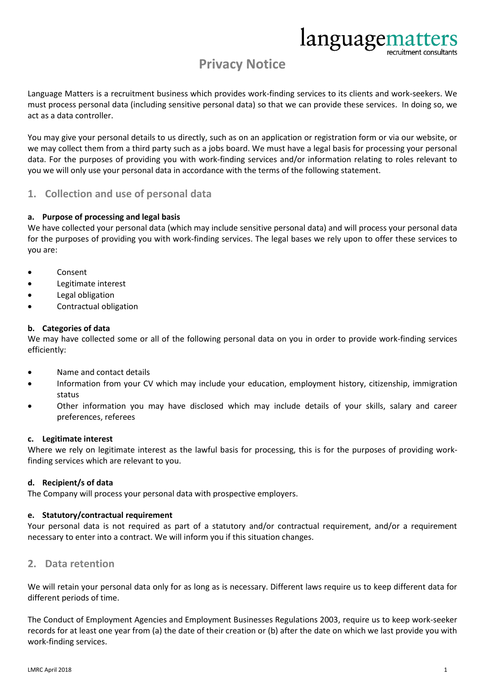# **Privacy Notice**

languagem

Language Matters is a recruitment business which provides work-finding services to its clients and work-seekers. We must process personal data (including sensitive personal data) so that we can provide these services. In doing so, we act as a data controller.

You may give your personal details to us directly, such as on an application or registration form or via our website, or we may collect them from a third party such as a jobs board. We must have a legal basis for processing your personal data. For the purposes of providing you with work-finding services and/or information relating to roles relevant to you we will only use your personal data in accordance with the terms of the following statement.

# **1. Collection and use of personal data**

### **a. Purpose of processing and legal basis**

We have collected your personal data (which may include sensitive personal data) and will process your personal data for the purposes of providing you with work-finding services. The legal bases we rely upon to offer these services to you are:

- Consent
- Legitimate interest
- Legal obligation
- Contractual obligation

#### **b. Categories of data**

We may have collected some or all of the following personal data on you in order to provide work-finding services efficiently:

- Name and contact details
- Information from your CV which may include your education, employment history, citizenship, immigration status
- Other information you may have disclosed which may include details of your skills, salary and career preferences, referees

#### **c. Legitimate interest**

Where we rely on legitimate interest as the lawful basis for processing, this is for the purposes of providing workfinding services which are relevant to you.

#### **d. Recipient/s of data**

The Company will process your personal data with prospective employers.

# **e. Statutory/contractual requirement**

Your personal data is not required as part of a statutory and/or contractual requirement, and/or a requirement necessary to enter into a contract. We will inform you if this situation changes.

# **2. Data retention**

We will retain your personal data only for as long as is necessary. Different laws require us to keep different data for different periods of time.

The Conduct of Employment Agencies and Employment Businesses Regulations 2003, require us to keep work-seeker records for at least one year from (a) the date of their creation or (b) after the date on which we last provide you with work-finding services.